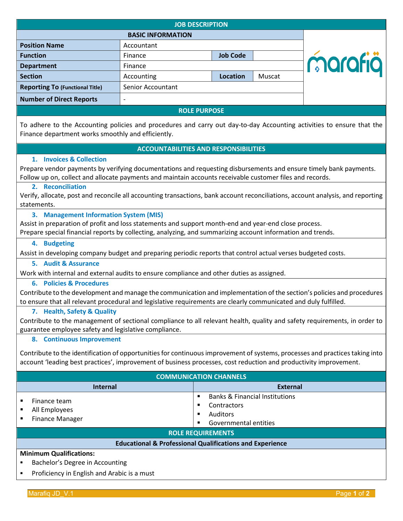| <b>JOB DESCRIPTION</b>                 |                   |                 |        |         |  |
|----------------------------------------|-------------------|-----------------|--------|---------|--|
| <b>BASIC INFORMATION</b>               |                   |                 |        |         |  |
| <b>Position Name</b>                   | Accountant        |                 |        |         |  |
| <b>Function</b>                        | Finance           | <b>Job Code</b> |        |         |  |
| <b>Department</b>                      | Finance           |                 |        | marafiä |  |
| <b>Section</b>                         | Accounting        | <b>Location</b> | Muscat |         |  |
| <b>Reporting To (Functional Title)</b> | Senior Accountant |                 |        |         |  |
| <b>Number of Direct Reports</b>        |                   |                 |        |         |  |
| <b>ROLE PURPOSE</b>                    |                   |                 |        |         |  |

To adhere to the Accounting policies and procedures and carry out day-to-day Accounting activities to ensure that the Finance department works smoothly and efficiently.

# **ACCOUNTABILITIES AND RESPONSIBILITIES**

#### **1. Invoices & Collection**

Prepare vendor payments by verifying documentations and requesting disbursements and ensure timely bank payments. Follow up on, collect and allocate payments and maintain accounts receivable customer files and records.

#### **2. Reconciliation**

Verify, allocate, post and reconcile all accounting transactions, bank account reconciliations, account analysis, and reporting statements.

# **3. Management Information System (MIS)**

Assist in preparation of profit and loss statements and support month-end and year-end close process. Prepare special financial reports by collecting, analyzing, and summarizing account information and trends.

#### **4. Budgeting**

Assist in developing company budget and preparing periodic reports that control actual verses budgeted costs.

#### **5. Audit & Assurance**

Work with internal and external audits to ensure compliance and other duties as assigned.

# **6. Policies & Procedures**

Contribute to the development and manage the communication and implementation of the section's policies and procedures to ensure that all relevant procedural and legislative requirements are clearly communicated and duly fulfilled.

# **7. Health, Safety & Quality**

Contribute to the management of sectional compliance to all relevant health, quality and safety requirements, in order to guarantee employee safety and legislative compliance.

# **8. Continuous Improvement**

Contribute to the identification of opportunities for continuous improvement of systems, processes and practices taking into account 'leading best practices', improvement of business processes, cost reduction and productivity improvement.

| <b>COMMUNICATION CHANNELS</b>                                                    |                                                                                                      |  |  |  |
|----------------------------------------------------------------------------------|------------------------------------------------------------------------------------------------------|--|--|--|
| Internal                                                                         | <b>External</b>                                                                                      |  |  |  |
| Finance team<br>All Employees<br><b>Finance Manager</b>                          | <b>Banks &amp; Financial Institutions</b><br><b>Contractors</b><br>Auditors<br>Governmental entities |  |  |  |
| <b>ROLE REQUIREMENTS</b>                                                         |                                                                                                      |  |  |  |
| <b>Educational &amp; Professional Qualifications and Experience</b>              |                                                                                                      |  |  |  |
| <b>Minimum Qualifications:</b><br>$\blacksquare$ Docholor's Dogram in Assounting |                                                                                                      |  |  |  |

- Bachelor's Degree in Accounting
- Proficiency in English and Arabic is a must